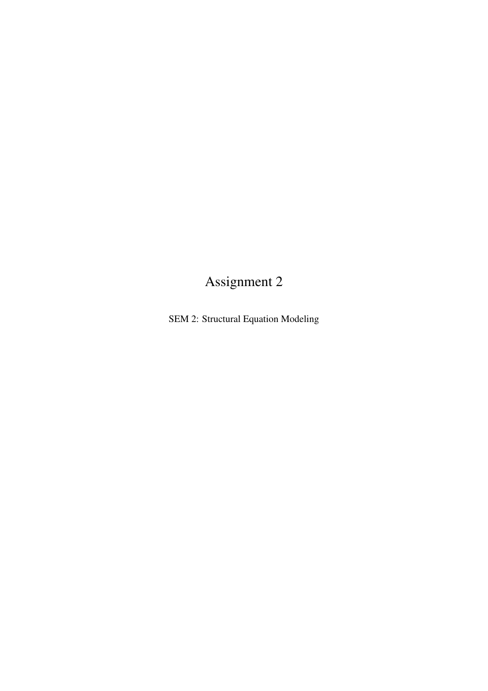## Assignment 2

SEM 2: Structural Equation Modeling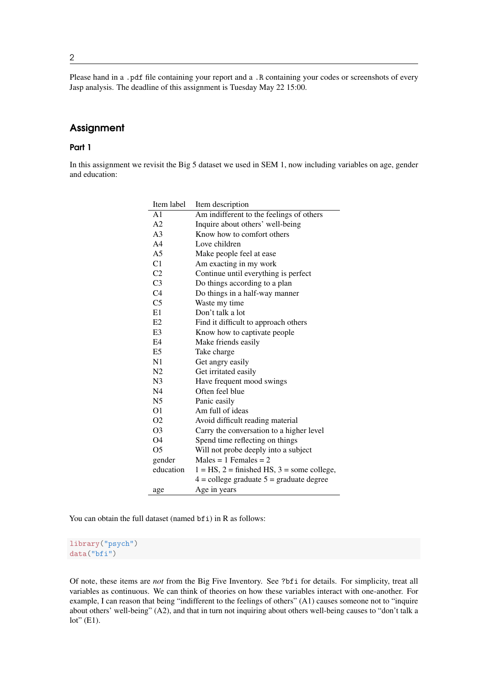Please hand in a .pdf file containing your report and a .R containing your codes or screenshots of every Jasp analysis. The deadline of this assignment is Tuesday May 22 15:00.

## **Assignment**

## Part 1

In this assignment we revisit the Big 5 dataset we used in SEM 1, now including variables on age, gender and education:

| Item label     | Item description                                  |
|----------------|---------------------------------------------------|
| A <sub>1</sub> | Am indifferent to the feelings of others          |
| A <sub>2</sub> | Inquire about others' well-being                  |
| A <sub>3</sub> | Know how to comfort others                        |
| A <sub>4</sub> | Love children                                     |
| A5             | Make people feel at ease                          |
| C1             | Am exacting in my work                            |
| C <sub>2</sub> | Continue until everything is perfect              |
| C <sub>3</sub> | Do things according to a plan                     |
| C <sub>4</sub> | Do things in a half-way manner                    |
| C <sub>5</sub> | Waste my time                                     |
| E1             | Don't talk a lot                                  |
| E2             | Find it difficult to approach others              |
| E <sub>3</sub> | Know how to captivate people                      |
| E4             | Make friends easily                               |
| E <sub>5</sub> | Take charge                                       |
| N1             | Get angry easily                                  |
| N <sub>2</sub> | Get irritated easily                              |
| N <sub>3</sub> | Have frequent mood swings                         |
| N <sub>4</sub> | Often feel blue                                   |
| N5             | Panic easily                                      |
| O1             | Am full of ideas                                  |
| O <sub>2</sub> | Avoid difficult reading material                  |
| O <sub>3</sub> | Carry the conversation to a higher level          |
| O4             | Spend time reflecting on things                   |
| O <sub>5</sub> | Will not probe deeply into a subject              |
| gender         | $Males = 1$ Females = 2                           |
| education      | $1 = HS$ , $2 =$ finished HS, $3 =$ some college, |
|                | $4 =$ college graduate $5 =$ graduate degree      |
| age            | Age in years                                      |

You can obtain the full dataset (named bfi) in R as follows:

library("psych") data("bfi")

Of note, these items are *not* from the Big Five Inventory. See ?bfi for details. For simplicity, treat all variables as continuous. We can think of theories on how these variables interact with one-another. For example, I can reason that being "indifferent to the feelings of others" (A1) causes someone not to "inquire about others' well-being" (A2), and that in turn not inquiring about others well-being causes to "don't talk a  $lot"$  (E1).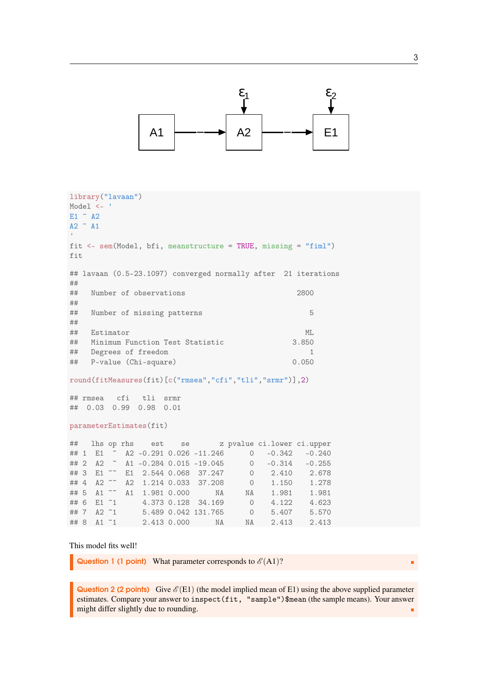

```
library("lavaan")
Model <- '
E1 \tilde{A} A2
A2 \sim A1fit <- sem(Model, bfi, meanstructure = TRUE, missing = "fiml")
fit
## lavaan (0.5-23.1097) converged normally after 21 iterations
##
## Number of observations 2800
##
## Number of missing patterns 5
##
## Estimator ML
## Minimum Function Test Statistic 3.850
## Degrees of freedom 1
## P-value (Chi-square) 0.050
round(fitMeasures(fit)[c("rmsea","cfi","tli","srmr")],2)
## rmsea cfi tli srmr
## 0.03 0.99 0.98 0.01
parameterEstimates(fit)
## lhs op rhs est se z pvalue ci.lower ci.upper
## 1 E1 ~ A2 -0.291 0.026 -11.246 0 -0.342 -0.240
## 2 A2 ~ A1 -0.284 0.015 -19.045 0 -0.314 -0.255
## 3 E1 ~~ E1 2.544 0.068 37.247 0 2.410 2.678
## 4 A2 ~~ A2 1.214 0.033 37.208 0 1.150 1.278
## 5 A1 <sup>~~</sup> A1 1.981 0.000 NA NA 1.981 1.981<br>## 6 E1 <sup>~</sup>1 4.373 0.128 34.169 0 4.122 4.623
## 6 E1 ~1 4.373 0.128 34.169 0 4.122 4.623
## 7 A2 ~1 5.489 0.042 131.765 0 5.407 5.570
## 8 A1 ~1 2.413 0.000 NA NA 2.413 2.413
```
This model fits well!

**Question 1 (1 point)** What parameter corresponds to  $\mathcal{E}(A1)$ ?

Question 2 (2 points) Give  $\mathcal{E}(E1)$  (the model implied mean of E1) using the above supplied parameter estimates. Compare your answer to inspect(fit, "sample")\$mean (the sample means). Your answer might differ slightly due to rounding.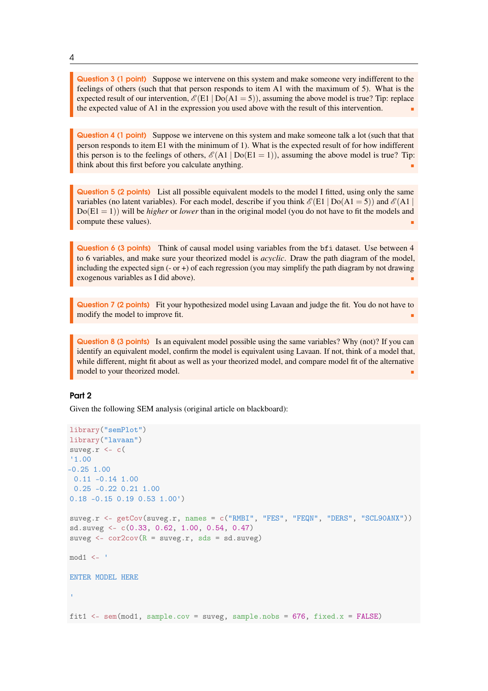Question 3 (1 point) Suppose we intervene on this system and make someone very indifferent to the feelings of others (such that that person responds to item A1 with the maximum of 5). What is the expected result of our intervention,  $\mathcal{E}(E1 | Do(A1 = 5))$ , assuming the above model is true? Tip: replace the expected value of A1 in the expression you used above with the result of this intervention.

Question 4 (1 point) Suppose we intervene on this system and make someone talk a lot (such that that person responds to item E1 with the minimum of 1). What is the expected result of for how indifferent this person is to the feelings of others,  $\mathcal{E}(A1 | Do(E1 = 1))$ , assuming the above model is true? Tip: think about this first before you calculate anything.

Question 5 (2 points) List all possible equivalent models to the model I fitted, using only the same variables (no latent variables). For each model, describe if you think  $\mathscr{E}(E1 | Do(A1 = 5))$  and  $\mathscr{E}(A1 |$  $Do(E1 = 1)$ ) will be *higher* or *lower* than in the original model (you do not have to fit the models and compute these values).

Question 6 (3 points) Think of causal model using variables from the bfi dataset. Use between 4 to 6 variables, and make sure your theorized model is *acyclic*. Draw the path diagram of the model, including the expected sign  $(-\text{or } +)$  of each regression (you may simplify the path diagram by not drawing exogenous variables as I did above).

Question 7 (2 points) Fit your hypothesized model using Lavaan and judge the fit. You do not have to modify the model to improve fit.

Question 8 (3 points) Is an equivalent model possible using the same variables? Why (not)? If you can identify an equivalent model, confirm the model is equivalent using Lavaan. If not, think of a model that, while different, might fit about as well as your theorized model, and compare model fit of the alternative model to your theorized model.

## Part 2

Given the following SEM analysis (original article on blackboard):

```
library("semPlot")
library("lavaan")
suveg.r \leftarrow c(
'1.00
-0.25 1.00
 0.11 -0.14 1.00
 0.25 -0.22 0.21 1.00
0.18 -0.15 0.19 0.53 1.00')
suveg.r <- getCov(suveg.r, names = c("RMBI", "FES", "FEQN", "DERS", "SCL90ANX"))
sd.suveg <- c(0.33, 0.62, 1.00, 0.54, 0.47)
suveg \leq cor2cov(R = suveg.r, sds = sd.suveg)
mod1 <- '
ENTER MODEL HERE
fit1 \leq sem(mod1, sample.cov = suveg, sample.nobs = 676, fixed.x = FALSE)
```